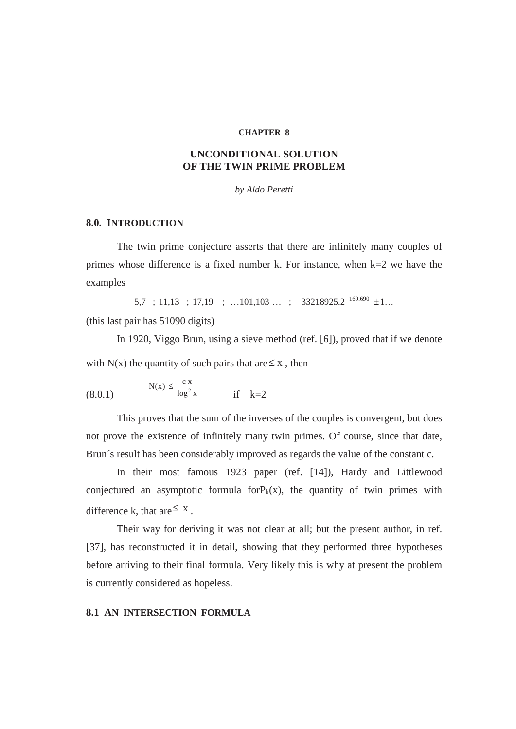#### **CHAPTER 8**

## **UNCONDITIONAL SOLUTION OF THE TWIN PRIME PROBLEM**

*by Aldo Peretti* 

### **8.0. INTRODUCTION**

The twin prime conjecture asserts that there are infinitely many couples of primes whose difference is a fixed number k. For instance, when k=2 we have the examples

 $5.7$  ; 11,13 ; 17,19 ; ...101,103 ... ; 33218925.2  $^{169.690}$  ± 1...

(this last pair has 51090 digits)

In 1920, Viggo Brun, using a sieve method (ref. [6]), proved that if we denote with N(x) the quantity of such pairs that are  $\leq x$ , then

(8.0.1) 
$$
N(x) \le \frac{c x}{\log^2 x}
$$
 if k=2

 This proves that the sum of the inverses of the couples is convergent, but does not prove the existence of infinitely many twin primes. Of course, since that date, Brun´s result has been considerably improved as regards the value of the constant c.

In their most famous 1923 paper (ref. [14]), Hardy and Littlewood conjectured an asymptotic formula for $P_k(x)$ , the quantity of twin primes with difference k, that are  $\leq$  x.

Their way for deriving it was not clear at all; but the present author, in ref. [37], has reconstructed it in detail, showing that they performed three hypotheses before arriving to their final formula. Very likely this is why at present the problem is currently considered as hopeless.

### **8.1 AN INTERSECTION FORMULA**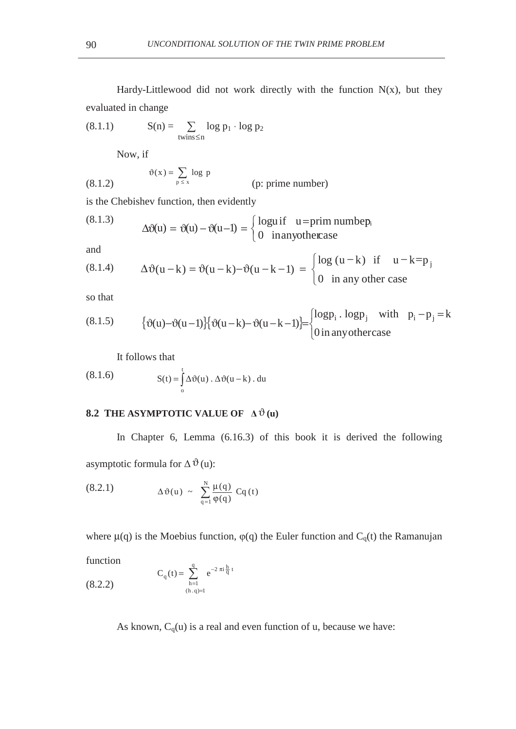Hardy-Littlewood did not work directly with the function  $N(x)$ , but they evaluated in change

$$
(8.1.1) \tS(n) = \sum_{\text{twins} \le n} \log p_1 \cdot \log p_2
$$

Now, if

(8.1.2) 
$$
\vartheta(x) = \sum_{p \le x} \log p
$$
 (p: prime number)

is the Chebishev function, then evidently

(8.1.3) 
$$
\Delta \vartheta(u) = \vartheta(u) - \vartheta(u-1) = \begin{cases} \text{logu if} & u = \text{prim number,} \\ 0 & \text{in anyotherase} \end{cases}
$$

and

(8.1.4) 
$$
\Delta \vartheta(u-k) = \vartheta(u-k) - \vartheta(u-k-1) = \begin{cases} \log(u-k) & \text{if } u-k=p_j \\ 0 & \text{in any other case} \end{cases}
$$

so that

(8.1.5) 
$$
\{\vartheta(u) - \vartheta(u-1)\} \{\vartheta(u-k) - \vartheta(u-k-1)\} = \begin{cases} \log p_i \cdot \log p_j & \text{with } p_i - p_j = k \\ 0 \text{ in any otherwise} \end{cases}
$$

It follows that

(8.1.6) 
$$
S(t) = \int_{0}^{t} \Delta \vartheta(u) \cdot \Delta \vartheta(u - k) \cdot du
$$

# **8.2 THE ASYMPTOTIC VALUE OF**  $\Delta \vartheta$  **(u)**

In Chapter 6, Lemma (6.16.3) of this book it is derived the following asymptotic formula for  $\Delta \vartheta$  (u):

(8.2.1) 
$$
\Delta \vartheta(u) \sim \sum_{q=1}^{N} \frac{\mu(q)}{\varphi(q)} Cq(t)
$$

where  $\mu(q)$  is the Moebius function,  $\varphi(q)$  the Euler function and C<sub>q</sub>(t) the Ramanujan

function

(8.2.2) 
$$
C_q(t) = \sum_{h=1}^{q} e^{-2 \pi i \frac{h}{q} t}
$$

$$
C_q(t) = \sum_{(h,q)=1}^{q} e^{-2 \pi i \frac{h}{q} t}
$$

As known,  $C_q(u)$  is a real and even function of u, because we have: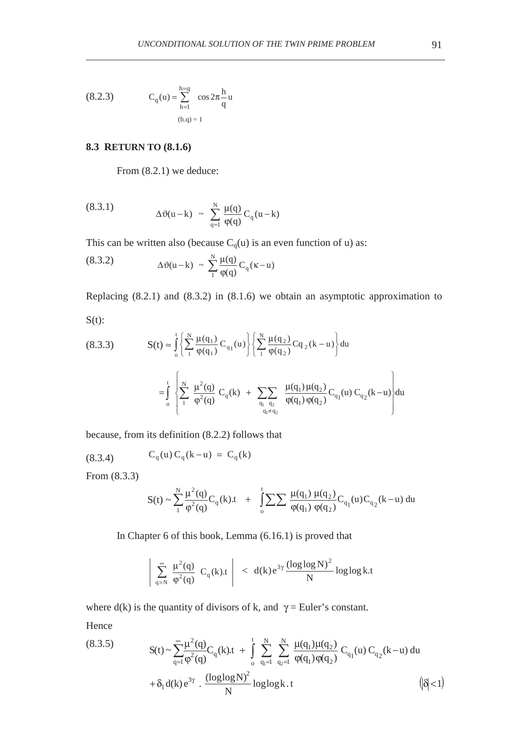(8.2.3) 
$$
C_q(u) = \sum_{h=1}^{h=q} \cos 2\pi \frac{h}{q} u
$$

$$
(h,q) = 1
$$

## **8.3 RETURN TO (8.1.6)**

From (8.2.1) we deduce:

(8.3.1) 
$$
\Delta \vartheta(u-k) \sim \sum_{q=1}^{N} \frac{\mu(q)}{\phi(q)} C_q(u-k)
$$

This can be written also (because  $C_q(u)$  is an even function of u) as:

(8.3.2) 
$$
\Delta \vartheta(u-k) \sim \sum_{1}^{N} \frac{\mu(q)}{\varphi(q)} C_q(\kappa - u)
$$

Replacing (8.2.1) and (8.3.2) in (8.1.6) we obtain an asymptotic approximation to  $S(t)$ :

 $q_1 \neq q$ 

≠

կ≠ Կշ

(8.3.3) 
$$
\mathbf{S}(t) \approx \int_{0}^{t} \left\{ \sum_{1}^{N} \frac{\mu(q_{1})}{\phi(q_{1})} C_{q_{1}}(u) \right\} \left\{ \sum_{1}^{N} \frac{\mu(q_{2})}{\phi(q_{2})} C_{q_{2}}(k-u) \right\} du
$$

$$
= \int_{0}^{t} \left\{ \sum_{1}^{N} \frac{\mu^{2}(q)}{\phi^{2}(q)} C_{q}(k) + \sum_{q_{1}} \sum_{q_{2}} \frac{\mu(q_{1}) \mu(q_{2})}{\phi(q_{1}) \phi(q_{2})} C_{q_{1}}(u) C_{q_{2}}(k-u) \right\} du
$$

because, from its definition (8.2.2) follows that

 $\overline{\mathcal{L}}$ 

(8.3.4) 
$$
C_q(u) C_q(k-u) = C_q(k)
$$

From (8.3.3)

$$
S(t) \sim \sum_{1}^{N} \frac{\mu^{2}(q)}{\phi^{2}(q)} C_{q}(k)t + \int_{0}^{t} \sum \sum \frac{\mu(q_{1}) \mu(q_{2})}{\phi(q_{1}) \phi(q_{2})} C_{q_{1}}(u) C_{q_{2}}(k-u) du
$$

In Chapter 6 of this book, Lemma (6.16.1) is proved that

$$
\left|\ \sum\limits_{q>N}^{\infty}\ \frac{\mu^2(q)}{\phi^2(q)}\ C_q(k).t\ \right|\ < \ d(k)\,e^{3\gamma}\frac{(\log\log N)^2}{N}\log\log k.t
$$

where  $d(k)$  is the quantity of divisors of k, and  $\gamma$  = Euler's constant.

Hence

(8.3.5) 
$$
S(t) \sim \sum_{q=1}^{\infty} \frac{\mu^{2}(q)}{\phi^{2}(q)} C_{q}(k)t + \int_{0}^{t} \sum_{q_{1}=1}^{N} \sum_{q_{2}=1}^{N} \frac{\mu(q_{1})\mu(q_{2})}{\phi(q_{1})\phi(q_{2})} C_{q_{1}}(u) C_{q_{2}}(k-u) du + \delta_{1} d(k) e^{3\gamma} \cdot \frac{(\log \log N)^{2}}{N} \log \log k \cdot t
$$
  $(|\delta| < 1)$ 

¿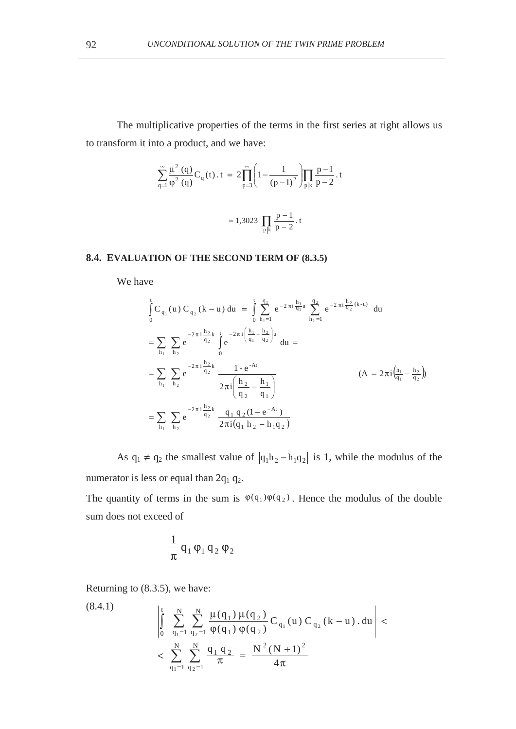The multiplicative properties of the terms in the first series at right allows us to transform it into a product, and we have:

$$
\sum_{q=1}^{\infty} \frac{\mu^2(q)}{\varphi^2(q)} C_q(t) \cdot t = 2 \prod_{p=3}^{\infty} \left( 1 - \frac{1}{(p-1)^2} \right) \prod_{p|k} \frac{p-1}{p-2} \cdot t
$$

$$
= 1,3023 \prod_{p|k} \frac{p-1}{p-2} \cdot t
$$

### **8.4. EVALUATION OF THE SECOND TERM OF (8.3.5)**

We have

$$
\int_{0}^{t} C_{q_{1}}(u) C_{q_{2}}(k-u) du = \int_{0}^{t} \sum_{h_{1}=1}^{q_{1}} e^{-2 \pi i \frac{h_{1}}{q_{1}}} \sum_{h_{2}=1}^{q_{2}} e^{-2 \pi i \frac{h_{2}}{q_{2}}(k-u)} du
$$
  
\n
$$
= \sum_{h_{1}} \sum_{h_{2}} e^{-2 \pi i \frac{h_{2}}{q_{2}}} \int_{0}^{t} e^{-2 \pi i (\frac{h_{1}}{q_{1}} - \frac{h_{2}}{q_{2}})u} du =
$$
  
\n
$$
= \sum_{h_{1}} \sum_{h_{2}} e^{-2 \pi i \frac{h_{2}}{q_{2}}} \frac{1 - e^{-At}}{2 \pi i (\frac{h_{2}}{q_{2}} - \frac{h_{1}}{q_{1}})}
$$
  
\n
$$
= \sum_{h_{1}} \sum_{h_{2}} e^{-2 \pi i \frac{h_{2}}{q_{2}}} \frac{q_{1} q_{2} (1 - e^{-At})}{2 \pi i (q_{1} h_{2} - h_{1} q_{2})}
$$
  
\n(A = 2 \pi i  $(\frac{h_{1}}{q_{1}} - \frac{h_{2}}{q_{2}})$ )

As  $q_1 \neq q_2$  the smallest value of  $|q_1 h_2 - h_1 q_2|$  is 1, while the modulus of the numerator is less or equal than  $2q_1 q_2$ .

The quantity of terms in the sum is  $\varphi(q_1) \varphi(q_2)$ . Hence the modulus of the double sum does not exceed of

$$
\frac{1}{\pi}\,q_1\,\phi_1\,q_2\,\phi_2
$$

Returning to (8.3.5), we have:

(8.4.1) 
$$
\left| \int_{0}^{t} \sum_{q_{1}=1}^{N} \sum_{q_{2}=1}^{N} \frac{\mu(q_{1}) \mu(q_{2})}{\varphi(q_{1}) \varphi(q_{2})} C_{q_{1}}(u) C_{q_{2}}(k-u) \cdot du \right| < \sum_{q_{1}=1}^{N} \sum_{q_{2}=1}^{N} \frac{q_{1} q_{2}}{\pi} = \frac{N^{2} (N+1)^{2}}{4 \pi}
$$